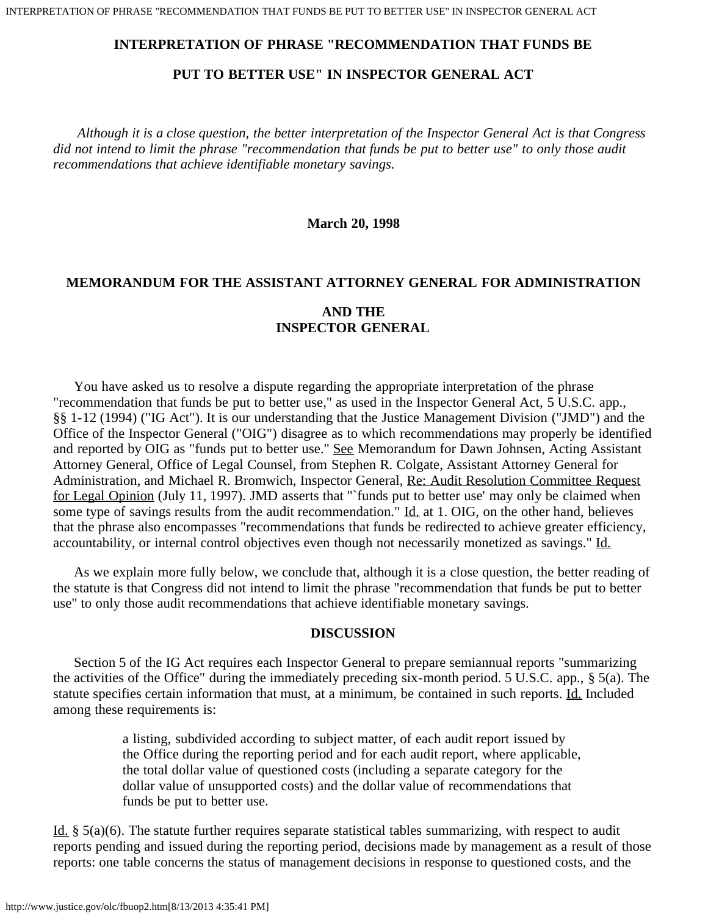## **INTERPRETATION OF PHRASE "RECOMMENDATION THAT FUNDS BE**

# **PUT TO BETTER USE" IN INSPECTOR GENERAL ACT**

 *Although it is a close question, the better interpretation of the Inspector General Act is that Congress did not intend to limit the phrase "recommendation that funds be put to better use" to only those audit recommendations that achieve identifiable monetary savings.*

**March 20, 1998**

# **MEMORANDUM FOR THE ASSISTANT ATTORNEY GENERAL FOR ADMINISTRATION AND THE INSPECTOR GENERAL**

 You have asked us to resolve a dispute regarding the appropriate interpretation of the phrase "recommendation that funds be put to better use," as used in the Inspector General Act, 5 U.S.C. app., §§ 1-12 (1994) ("IG Act"). It is our understanding that the Justice Management Division ("JMD") and the Office of the Inspector General ("OIG") disagree as to which recommendations may properly be identified and reported by OIG as "funds put to better use." See Memorandum for Dawn Johnsen, Acting Assistant Attorney General, Office of Legal Counsel, from Stephen R. Colgate, Assistant Attorney General for Administration, and Michael R. Bromwich, Inspector General, Re: Audit Resolution Committee Request for Legal Opinion (July 11, 1997). JMD asserts that "`funds put to better use' may only be claimed when some type of savings results from the audit recommendation." Id. at 1. OIG, on the other hand, believes that the phrase also encompasses "recommendations that funds be redirected to achieve greater efficiency, accountability, or internal control objectives even though not necessarily monetized as savings." Id.

 As we explain more fully below, we conclude that, although it is a close question, the better reading of the statute is that Congress did not intend to limit the phrase "recommendation that funds be put to better use" to only those audit recommendations that achieve identifiable monetary savings.

#### **DISCUSSION**

 Section 5 of the IG Act requires each Inspector General to prepare semiannual reports "summarizing the activities of the Office" during the immediately preceding six-month period. 5 U.S.C. app., § 5(a). The statute specifies certain information that must, at a minimum, be contained in such reports. Id. Included among these requirements is:

> a listing, subdivided according to subject matter, of each audit report issued by the Office during the reporting period and for each audit report, where applicable, the total dollar value of questioned costs (including a separate category for the dollar value of unsupported costs) and the dollar value of recommendations that funds be put to better use.

Id. § 5(a)(6). The statute further requires separate statistical tables summarizing, with respect to audit reports pending and issued during the reporting period, decisions made by management as a result of those reports: one table concerns the status of management decisions in response to questioned costs, and the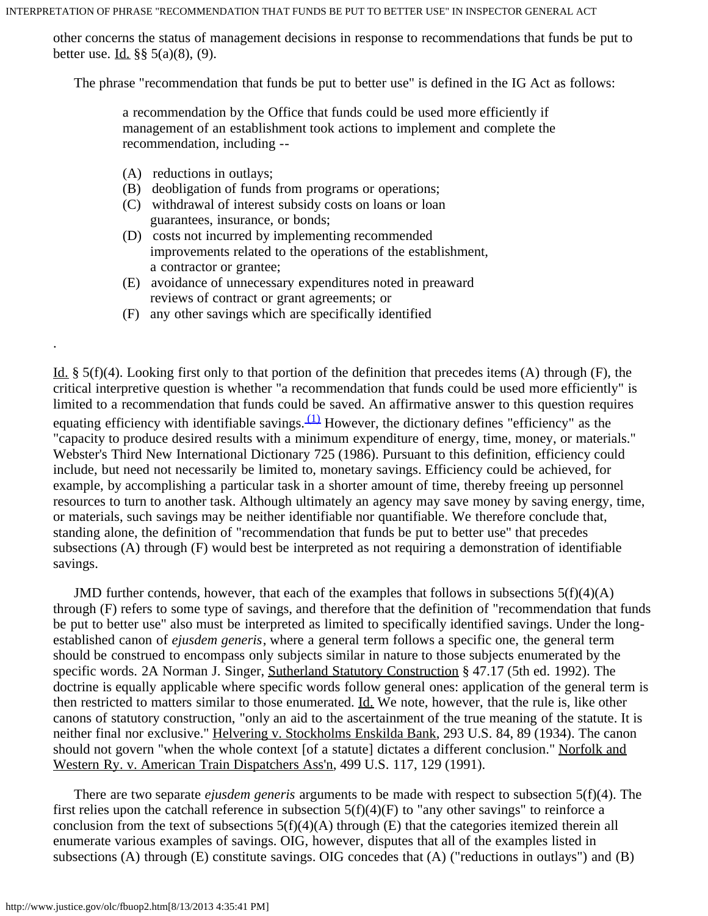INTERPRETATION OF PHRASE "RECOMMENDATION THAT FUNDS BE PUT TO BETTER USE" IN INSPECTOR GENERAL ACT

other concerns the status of management decisions in response to recommendations that funds be put to better use. Id. §§ 5(a)(8), (9).

The phrase "recommendation that funds be put to better use" is defined in the IG Act as follows:

a recommendation by the Office that funds could be used more efficiently if management of an establishment took actions to implement and complete the recommendation, including --

(A) reductions in outlays;

.

- (B) deobligation of funds from programs or operations;
- (C) withdrawal of interest subsidy costs on loans or loan guarantees, insurance, or bonds;
- (D) costs not incurred by implementing recommended improvements related to the operations of the establishment, a contractor or grantee;
- (E) avoidance of unnecessary expenditures noted in preaward reviews of contract or grant agreements; or
- (F) any other savings which are specifically identified

Id. § 5(f)(4). Looking first only to that portion of the definition that precedes items (A) through (F), the critical interpretive question is whether "a recommendation that funds could be used more efficiently" is limited to a recommendation that funds could be saved. An affirmative answer to this question requires equating efficiency with identifiable savings.  $(1)$  However, the dictionary defines "efficiency" as the "capacity to produce desired results with a minimum expenditure of energy, time, money, or materials." Webster's Third New International Dictionary 725 (1986). Pursuant to this definition, efficiency could include, but need not necessarily be limited to, monetary savings. Efficiency could be achieved, for example, by accomplishing a particular task in a shorter amount of time, thereby freeing up personnel resources to turn to another task. Although ultimately an agency may save money by saving energy, time, or materials, such savings may be neither identifiable nor quantifiable. We therefore conclude that, standing alone, the definition of "recommendation that funds be put to better use" that precedes subsections (A) through (F) would best be interpreted as not requiring a demonstration of identifiable savings.

JMD further contends, however, that each of the examples that follows in subsections  $5(f)(4)(A)$ through (F) refers to some type of savings, and therefore that the definition of "recommendation that funds be put to better use" also must be interpreted as limited to specifically identified savings. Under the longestablished canon of *ejusdem generis*, where a general term follows a specific one, the general term should be construed to encompass only subjects similar in nature to those subjects enumerated by the specific words. 2A Norman J. Singer, Sutherland Statutory Construction § 47.17 (5th ed. 1992). The doctrine is equally applicable where specific words follow general ones: application of the general term is then restricted to matters similar to those enumerated. Id. We note, however, that the rule is, like other canons of statutory construction, "only an aid to the ascertainment of the true meaning of the statute. It is neither final nor exclusive." Helvering v. Stockholms Enskilda Bank, 293 U.S. 84, 89 (1934). The canon should not govern "when the whole context [of a statute] dictates a different conclusion." Norfolk and Western Ry. v. American Train Dispatchers Ass'n, 499 U.S. 117, 129 (1991).

 There are two separate *ejusdem generis* arguments to be made with respect to subsection 5(f)(4). The first relies upon the catchall reference in subsection  $5(f)(4)(F)$  to "any other savings" to reinforce a conclusion from the text of subsections  $5(f)(4)(A)$  through (E) that the categories itemized therein all enumerate various examples of savings. OIG, however, disputes that all of the examples listed in subsections (A) through (E) constitute savings. OIG concedes that (A) ("reductions in outlays") and (B)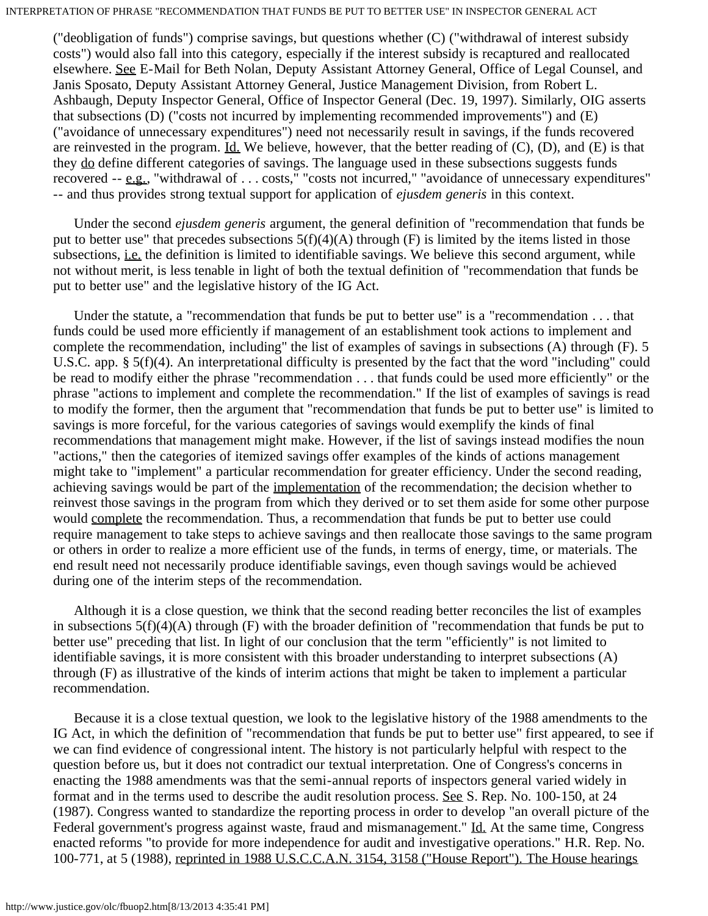("deobligation of funds") comprise savings, but questions whether (C) ("withdrawal of interest subsidy costs") would also fall into this category, especially if the interest subsidy is recaptured and reallocated elsewhere. See E-Mail for Beth Nolan, Deputy Assistant Attorney General, Office of Legal Counsel, and Janis Sposato, Deputy Assistant Attorney General, Justice Management Division, from Robert L. Ashbaugh, Deputy Inspector General, Office of Inspector General (Dec. 19, 1997). Similarly, OIG asserts that subsections (D) ("costs not incurred by implementing recommended improvements") and (E) ("avoidance of unnecessary expenditures") need not necessarily result in savings, if the funds recovered are reinvested in the program. Id. We believe, however, that the better reading of  $(C)$ ,  $(D)$ , and  $(E)$  is that they do define different categories of savings. The language used in these subsections suggests funds recovered -- e.g., "withdrawal of . . . costs," "costs not incurred," "avoidance of unnecessary expenditures" -- and thus provides strong textual support for application of *ejusdem generis* in this context.

 Under the second *ejusdem generis* argument, the general definition of "recommendation that funds be put to better use" that precedes subsections  $5(f)(4)(A)$  through (F) is limited by the items listed in those subsections, *i.e.* the definition is limited to identifiable savings. We believe this second argument, while not without merit, is less tenable in light of both the textual definition of "recommendation that funds be put to better use" and the legislative history of the IG Act.

 Under the statute, a "recommendation that funds be put to better use" is a "recommendation . . . that funds could be used more efficiently if management of an establishment took actions to implement and complete the recommendation, including" the list of examples of savings in subsections (A) through (F). 5 U.S.C. app. § 5(f)(4). An interpretational difficulty is presented by the fact that the word "including" could be read to modify either the phrase "recommendation . . . that funds could be used more efficiently" or the phrase "actions to implement and complete the recommendation." If the list of examples of savings is read to modify the former, then the argument that "recommendation that funds be put to better use" is limited to savings is more forceful, for the various categories of savings would exemplify the kinds of final recommendations that management might make. However, if the list of savings instead modifies the noun "actions," then the categories of itemized savings offer examples of the kinds of actions management might take to "implement" a particular recommendation for greater efficiency. Under the second reading, achieving savings would be part of the implementation of the recommendation; the decision whether to reinvest those savings in the program from which they derived or to set them aside for some other purpose would complete the recommendation. Thus, a recommendation that funds be put to better use could require management to take steps to achieve savings and then reallocate those savings to the same program or others in order to realize a more efficient use of the funds, in terms of energy, time, or materials. The end result need not necessarily produce identifiable savings, even though savings would be achieved during one of the interim steps of the recommendation.

 Although it is a close question, we think that the second reading better reconciles the list of examples in subsections  $5(f)(4)(A)$  through (F) with the broader definition of "recommendation that funds be put to better use" preceding that list. In light of our conclusion that the term "efficiently" is not limited to identifiable savings, it is more consistent with this broader understanding to interpret subsections (A) through (F) as illustrative of the kinds of interim actions that might be taken to implement a particular recommendation.

 Because it is a close textual question, we look to the legislative history of the 1988 amendments to the IG Act, in which the definition of "recommendation that funds be put to better use" first appeared, to see if we can find evidence of congressional intent. The history is not particularly helpful with respect to the question before us, but it does not contradict our textual interpretation. One of Congress's concerns in enacting the 1988 amendments was that the semi-annual reports of inspectors general varied widely in format and in the terms used to describe the audit resolution process. See S. Rep. No. 100-150, at 24 (1987). Congress wanted to standardize the reporting process in order to develop "an overall picture of the Federal government's progress against waste, fraud and mismanagement." Id. At the same time, Congress enacted reforms "to provide for more independence for audit and investigative operations." H.R. Rep. No. 100-771, at 5 (1988), reprinted in 1988 U.S.C.C.A.N. 3154, 3158 ("House Report"). The House hearings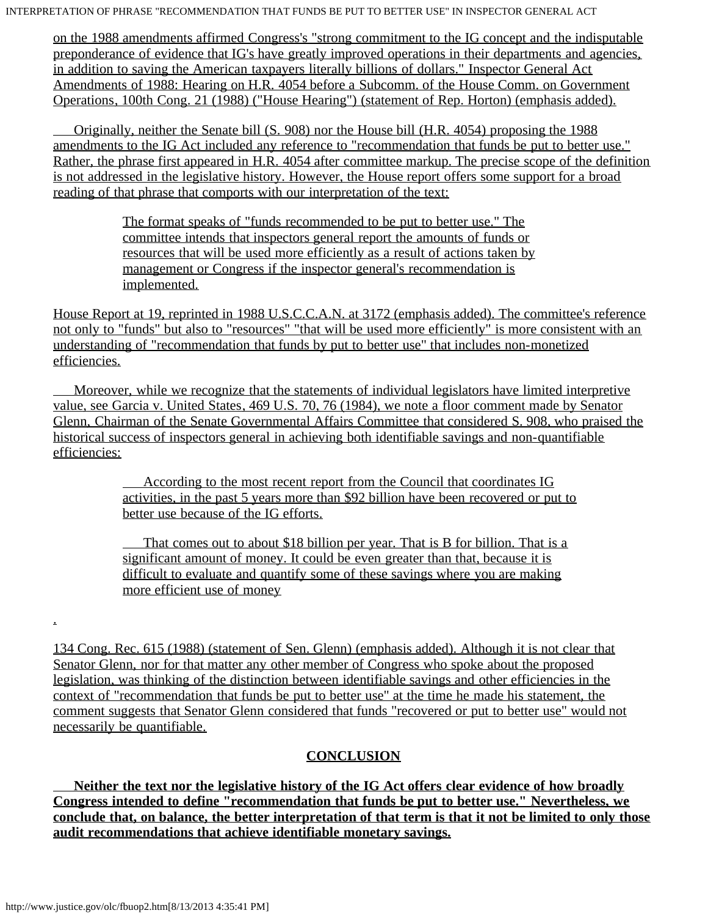INTERPRETATION OF PHRASE "RECOMMENDATION THAT FUNDS BE PUT TO BETTER USE" IN INSPECTOR GENERAL ACT

on the 1988 amendments affirmed Congress's "strong commitment to the IG concept and the indisputable preponderance of evidence that IG's have greatly improved operations in their departments and agencies, in addition to saving the American taxpayers literally billions of dollars." Inspector General Act Amendments of 1988: Hearing on H.R. 4054 before a Subcomm. of the House Comm. on Government Operations, 100th Cong. 21 (1988) ("House Hearing") (statement of Rep. Horton) (emphasis added).

 Originally, neither the Senate bill (S. 908) nor the House bill (H.R. 4054) proposing the 1988 amendments to the IG Act included any reference to "recommendation that funds be put to better use." Rather, the phrase first appeared in H.R. 4054 after committee markup. The precise scope of the definition is not addressed in the legislative history. However, the House report offers some support for a broad reading of that phrase that comports with our interpretation of the text:

> The format speaks of "funds recommended to be put to better use." The committee intends that inspectors general report the amounts of funds or resources that will be used more efficiently as a result of actions taken by management or Congress if the inspector general's recommendation is implemented.

House Report at 19, reprinted in 1988 U.S.C.C.A.N. at 3172 (emphasis added). The committee's reference not only to "funds" but also to "resources" "that will be used more efficiently" is more consistent with an understanding of "recommendation that funds by put to better use" that includes non-monetized efficiencies.

 Moreover, while we recognize that the statements of individual legislators have limited interpretive value, see Garcia v. United States, 469 U.S. 70, 76 (1984), we note a floor comment made by Senator Glenn, Chairman of the Senate Governmental Affairs Committee that considered S. 908, who praised the historical success of inspectors general in achieving both identifiable savings and non-quantifiable efficiencies:

> According to the most recent report from the Council that coordinates IG activities, in the past 5 years more than \$92 billion have been recovered or put to better use because of the IG efforts.

 That comes out to about \$18 billion per year. That is B for billion. That is a significant amount of money. It could be even greater than that, because it is difficult to evaluate and quantify some of these savings where you are making more efficient use of money

.

134 Cong. Rec. 615 (1988) (statement of Sen. Glenn) (emphasis added). Although it is not clear that Senator Glenn, nor for that matter any other member of Congress who spoke about the proposed legislation, was thinking of the distinction between identifiable savings and other efficiencies in the context of "recommendation that funds be put to better use" at the time he made his statement, the comment suggests that Senator Glenn considered that funds "recovered or put to better use" would not necessarily be quantifiable.

## **CONCLUSION**

 **Neither the text nor the legislative history of the IG Act offers clear evidence of how broadly Congress intended to define "recommendation that funds be put to better use." Nevertheless, we conclude that, on balance, the better interpretation of that term is that it not be limited to only those audit recommendations that achieve identifiable monetary savings.**